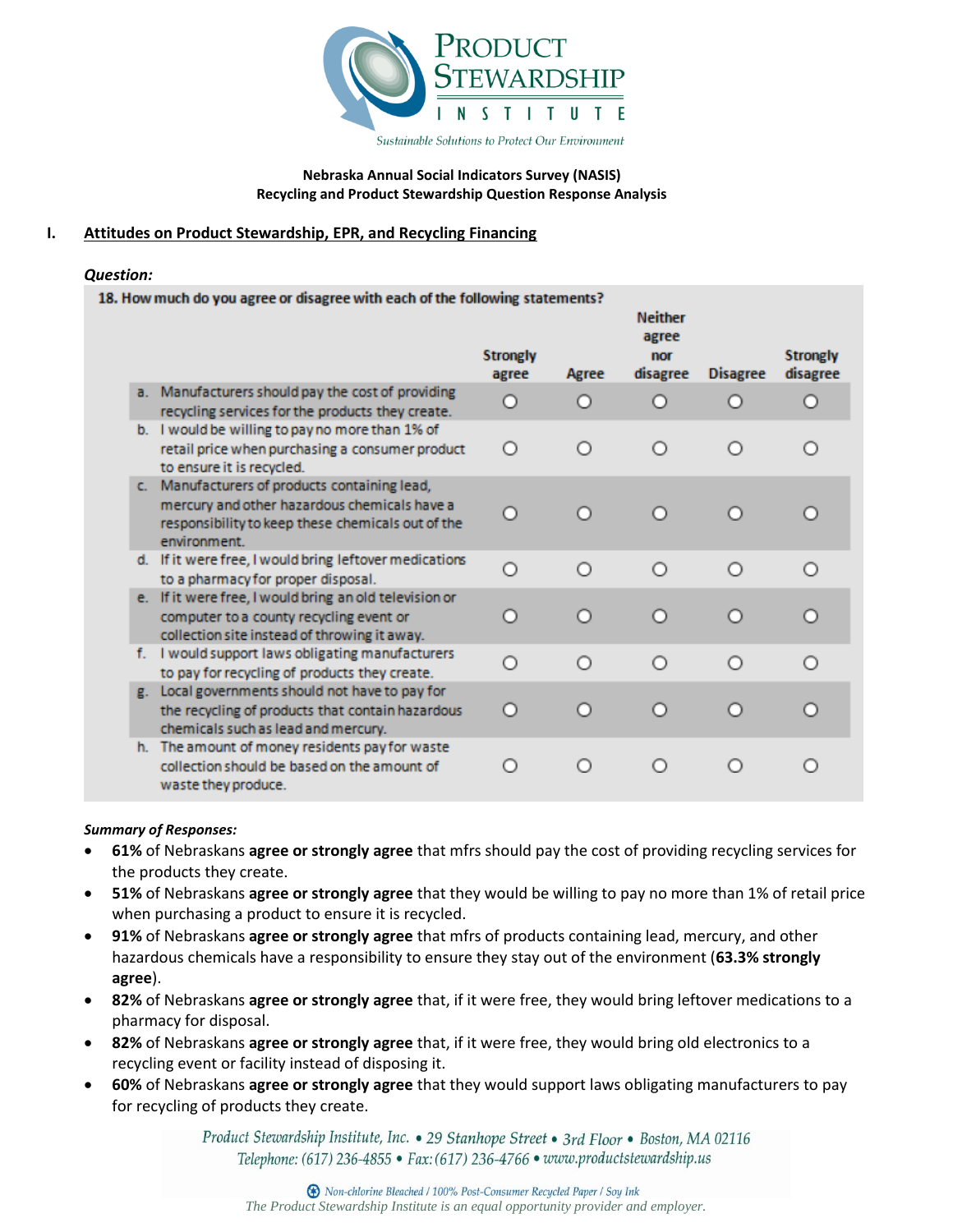

### **Nebraska Annual Social Indicators Survey (NASIS) Recycling and Product Stewardship Question Response Analysis**

# **I. Attitudes on Product Stewardship, EPR, and Recycling Financing**

### *Question:*

| 18. How much do you agree or disagree with each of the following statements? |  |                                                                                                                                                                    |                          |           |                                            |                 |                             |
|------------------------------------------------------------------------------|--|--------------------------------------------------------------------------------------------------------------------------------------------------------------------|--------------------------|-----------|--------------------------------------------|-----------------|-----------------------------|
|                                                                              |  |                                                                                                                                                                    | <b>Strongly</b><br>agree | Agree     | <b>Neither</b><br>agree<br>nor<br>disagree | <b>Disagree</b> | <b>Strongly</b><br>disagree |
|                                                                              |  | a. Manufacturers should pay the cost of providing<br>recycling services for the products they create.                                                              | Ω                        | Ω         | O                                          |                 | Ω                           |
|                                                                              |  | b. I would be willing to pay no more than 1% of<br>retail price when purchasing a consumer product<br>to ensure it is recycled.                                    | ∩                        | Ο         | ∩                                          | ∩               | ∩                           |
|                                                                              |  | c. Manufacturers of products containing lead,<br>mercury and other hazardous chemicals have a<br>responsibility to keep these chemicals out of the<br>environment. | Ο                        | ∩         | Ω                                          | n               | n                           |
|                                                                              |  | d. If it were free, I would bring leftover medications<br>to a pharmacy for proper disposal.                                                                       | $\circ$                  | $\bigcap$ | ∩                                          | ∩               | ∩                           |
|                                                                              |  | e. If it were free, I would bring an old television or<br>computer to a county recycling event or<br>collection site instead of throwing it away.                  | Ο                        | ∩         | n                                          | ∩               | ∩                           |
|                                                                              |  | f. I would support laws obligating manufacturers<br>to pay for recycling of products they create.                                                                  | $\circ$                  | ∩         | Ω                                          | ∩               | ∩                           |
|                                                                              |  | g. Local governments should not have to pay for<br>the recycling of products that contain hazardous<br>chemicals such as lead and mercury.                         | O                        | $\circ$   | n                                          | n               | Ω                           |
|                                                                              |  | h. The amount of money residents pay for waste<br>collection should be based on the amount of<br>waste they produce.                                               | ∩                        | $\circ$   |                                            |                 | ∩                           |

## *Summary of Responses:*

- **61%** of Nebraskans **agree or strongly agree** that mfrs should pay the cost of providing recycling services for the products they create.
- **51%** of Nebraskans **agree or strongly agree** that they would be willing to pay no more than 1% of retail price when purchasing a product to ensure it is recycled.
- **91%** of Nebraskans **agree or strongly agree** that mfrs of products containing lead, mercury, and other hazardous chemicals have a responsibility to ensure they stay out of the environment (**63.3% strongly agree**).
- **82%** of Nebraskans **agree or strongly agree** that, if it were free, they would bring leftover medications to a pharmacy for disposal.
- **82%** of Nebraskans **agree or strongly agree** that, if it were free, they would bring old electronics to a recycling event or facility instead of disposing it.
- **60%** of Nebraskans **agree or strongly agree** that they would support laws obligating manufacturers to pay for recycling of products they create.

Product Stewardship Institute, Inc. • 29 Stanhope Street • 3rd Floor • Boston, MA 02116 Telephone: (617) 236-4855 · Fax: (617) 236-4766 · www.productstewardship.us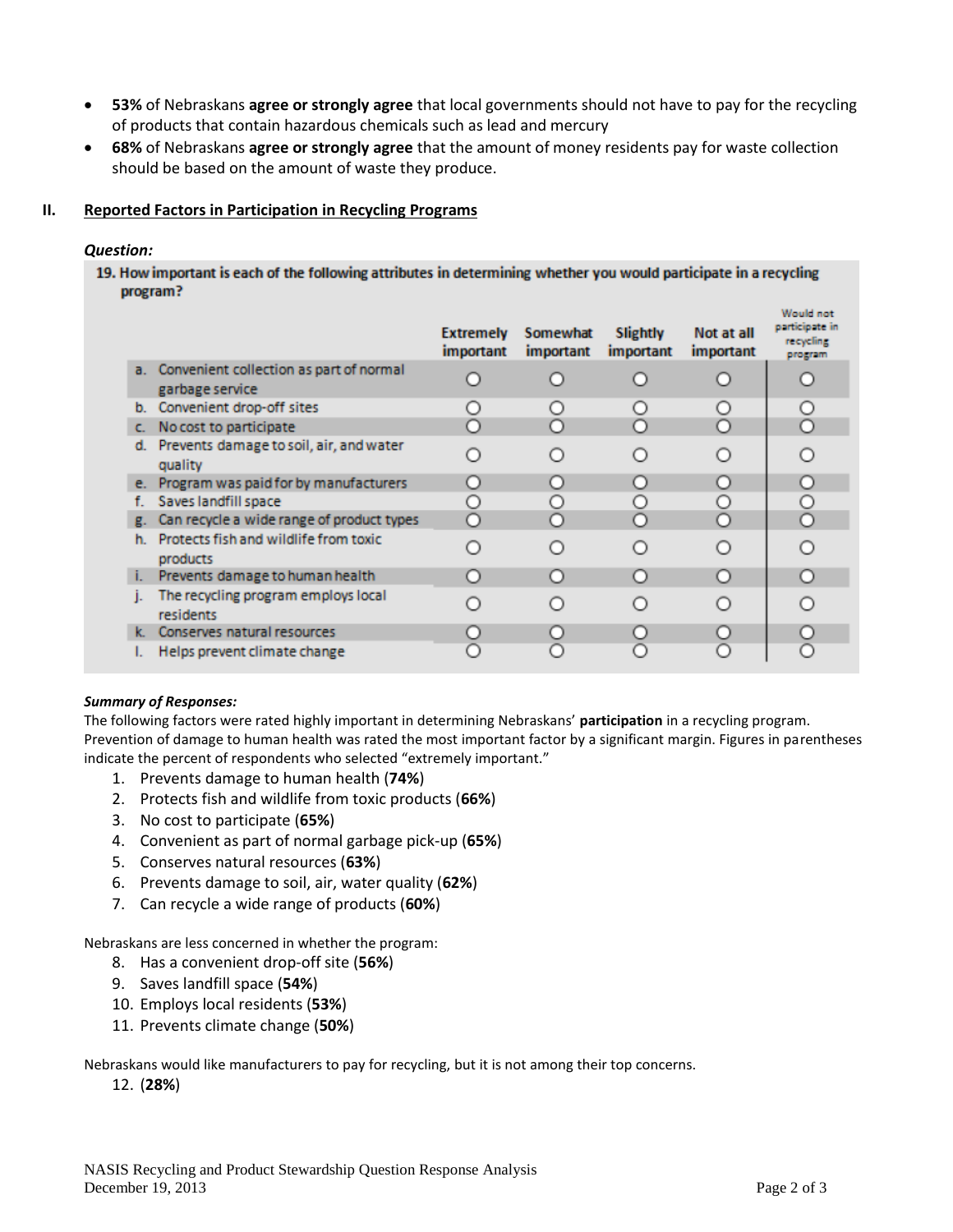- **53%** of Nebraskans **agree or strongly agree** that local governments should not have to pay for the recycling of products that contain hazardous chemicals such as lead and mercury
- **68%** of Nebraskans **agree or strongly agree** that the amount of money residents pay for waste collection should be based on the amount of waste they produce.

### **II. Reported Factors in Participation in Recycling Programs**

### *Question:*

19. How important is each of the following attributes in determining whether you would participate in a recycling program?

|    |                                                               | <b>Extremely</b><br><i>important</i> | Somewhat<br>important | Slightly<br>important | Not at all<br>important | Would not<br>participate in<br>recycling<br>program |
|----|---------------------------------------------------------------|--------------------------------------|-----------------------|-----------------------|-------------------------|-----------------------------------------------------|
|    | a. Convenient collection as part of normal<br>garbage service |                                      |                       |                       |                         |                                                     |
| b. | Convenient drop-off sites                                     |                                      | $\bigcirc$            |                       |                         | O                                                   |
| c. | No cost to participate                                        | Ω                                    | ∩                     |                       | n                       | O                                                   |
| d. | Prevents damage to soil, air, and water<br>quality            |                                      |                       |                       |                         |                                                     |
|    | e. Program was paid for by manufacturers                      | O                                    | O                     | O                     |                         | О                                                   |
| f. | Saves landfill space                                          | ( )                                  |                       |                       |                         | О                                                   |
| g. | Can recycle a wide range of product types                     | ∩                                    |                       |                       |                         | $\circ$                                             |
| h. | Protects fish and wildlife from toxic<br>products             |                                      | ∩                     |                       |                         | ∩                                                   |
| L. | Prevents damage to human health                               |                                      |                       |                       | O                       | n                                                   |
| ı. | The recycling program employs local<br>residents              |                                      |                       |                       |                         |                                                     |
| k. | Conserves natural resources                                   |                                      | О                     |                       |                         | О                                                   |
|    | Helps prevent climate change                                  |                                      |                       |                       |                         | n                                                   |

#### *Summary of Responses:*

The following factors were rated highly important in determining Nebraskans' **participation** in a recycling program. Prevention of damage to human health was rated the most important factor by a significant margin. Figures in parentheses indicate the percent of respondents who selected "extremely important."

- 1. Prevents damage to human health (**74%**)
- 2. Protects fish and wildlife from toxic products (**66%**)
- 3. No cost to participate (**65%**)
- 4. Convenient as part of normal garbage pick-up (**65%**)
- 5. Conserves natural resources (**63%**)
- 6. Prevents damage to soil, air, water quality (**62%**)
- 7. Can recycle a wide range of products (**60%**)

Nebraskans are less concerned in whether the program:

- 8. Has a convenient drop-off site (**56%**)
- 9. Saves landfill space (**54%**)
- 10. Employs local residents (**53%**)
- 11. Prevents climate change (**50%**)

Nebraskans would like manufacturers to pay for recycling, but it is not among their top concerns.

12. (**28%**)